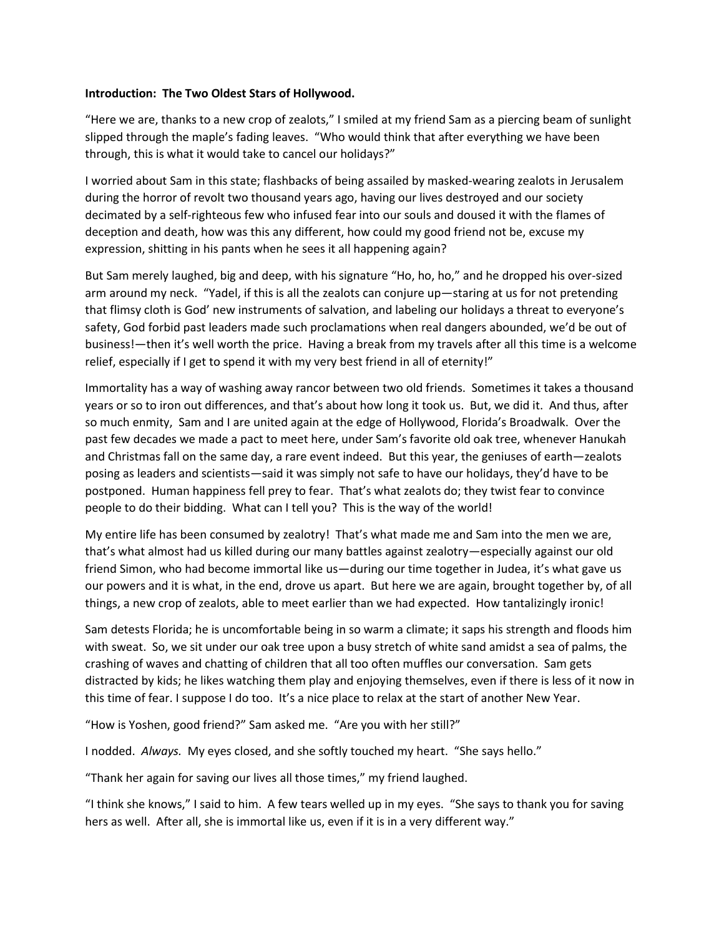## **Introduction: The Two Oldest Stars of Hollywood.**

"Here we are, thanks to a new crop of zealots," I smiled at my friend Sam as a piercing beam of sunlight slipped through the maple's fading leaves. "Who would think that after everything we have been through, this is what it would take to cancel our holidays?"

I worried about Sam in this state; flashbacks of being assailed by masked-wearing zealots in Jerusalem during the horror of revolt two thousand years ago, having our lives destroyed and our society decimated by a self-righteous few who infused fear into our souls and doused it with the flames of deception and death, how was this any different, how could my good friend not be, excuse my expression, shitting in his pants when he sees it all happening again?

But Sam merely laughed, big and deep, with his signature "Ho, ho, ho," and he dropped his over-sized arm around my neck. "Yadel, if this is all the zealots can conjure up—staring at us for not pretending that flimsy cloth is God' new instruments of salvation, and labeling our holidays a threat to everyone's safety, God forbid past leaders made such proclamations when real dangers abounded, we'd be out of business!—then it's well worth the price. Having a break from my travels after all this time is a welcome relief, especially if I get to spend it with my very best friend in all of eternity!"

Immortality has a way of washing away rancor between two old friends. Sometimes it takes a thousand years or so to iron out differences, and that's about how long it took us. But, we did it. And thus, after so much enmity, Sam and I are united again at the edge of Hollywood, Florida's Broadwalk. Over the past few decades we made a pact to meet here, under Sam's favorite old oak tree, whenever Hanukah and Christmas fall on the same day, a rare event indeed. But this year, the geniuses of earth—zealots posing as leaders and scientists—said it was simply not safe to have our holidays, they'd have to be postponed. Human happiness fell prey to fear. That's what zealots do; they twist fear to convince people to do their bidding. What can I tell you? This is the way of the world!

My entire life has been consumed by zealotry! That's what made me and Sam into the men we are, that's what almost had us killed during our many battles against zealotry—especially against our old friend Simon, who had become immortal like us—during our time together in Judea, it's what gave us our powers and it is what, in the end, drove us apart. But here we are again, brought together by, of all things, a new crop of zealots, able to meet earlier than we had expected. How tantalizingly ironic!

Sam detests Florida; he is uncomfortable being in so warm a climate; it saps his strength and floods him with sweat. So, we sit under our oak tree upon a busy stretch of white sand amidst a sea of palms, the crashing of waves and chatting of children that all too often muffles our conversation. Sam gets distracted by kids; he likes watching them play and enjoying themselves, even if there is less of it now in this time of fear. I suppose I do too. It's a nice place to relax at the start of another New Year.

"How is Yoshen, good friend?" Sam asked me. "Are you with her still?"

I nodded. *Always.* My eyes closed, and she softly touched my heart. "She says hello."

"Thank her again for saving our lives all those times," my friend laughed.

"I think she knows," I said to him. A few tears welled up in my eyes. "She says to thank you for saving hers as well. After all, she is immortal like us, even if it is in a very different way."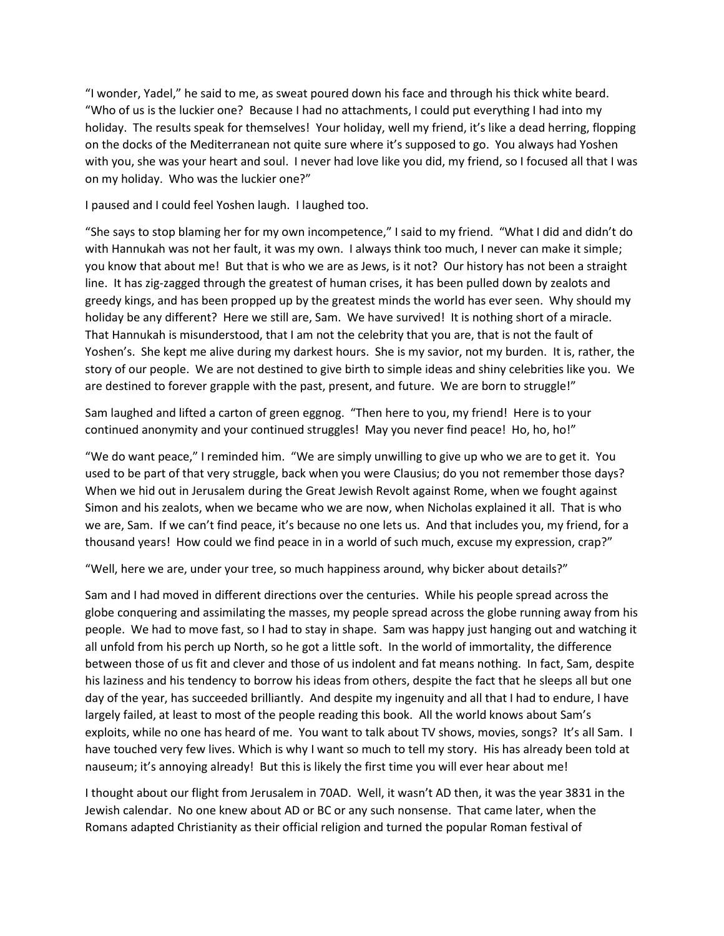"I wonder, Yadel," he said to me, as sweat poured down his face and through his thick white beard. "Who of us is the luckier one? Because I had no attachments, I could put everything I had into my holiday. The results speak for themselves! Your holiday, well my friend, it's like a dead herring, flopping on the docks of the Mediterranean not quite sure where it's supposed to go. You always had Yoshen with you, she was your heart and soul. I never had love like you did, my friend, so I focused all that I was on my holiday. Who was the luckier one?"

I paused and I could feel Yoshen laugh. I laughed too.

"She says to stop blaming her for my own incompetence," I said to my friend. "What I did and didn't do with Hannukah was not her fault, it was my own. I always think too much, I never can make it simple; you know that about me! But that is who we are as Jews, is it not? Our history has not been a straight line. It has zig-zagged through the greatest of human crises, it has been pulled down by zealots and greedy kings, and has been propped up by the greatest minds the world has ever seen. Why should my holiday be any different? Here we still are, Sam. We have survived! It is nothing short of a miracle. That Hannukah is misunderstood, that I am not the celebrity that you are, that is not the fault of Yoshen's. She kept me alive during my darkest hours. She is my savior, not my burden. It is, rather, the story of our people. We are not destined to give birth to simple ideas and shiny celebrities like you. We are destined to forever grapple with the past, present, and future. We are born to struggle!"

Sam laughed and lifted a carton of green eggnog. "Then here to you, my friend! Here is to your continued anonymity and your continued struggles! May you never find peace! Ho, ho, ho!"

"We do want peace," I reminded him. "We are simply unwilling to give up who we are to get it. You used to be part of that very struggle, back when you were Clausius; do you not remember those days? When we hid out in Jerusalem during the Great Jewish Revolt against Rome, when we fought against Simon and his zealots, when we became who we are now, when Nicholas explained it all. That is who we are, Sam. If we can't find peace, it's because no one lets us. And that includes you, my friend, for a thousand years! How could we find peace in in a world of such much, excuse my expression, crap?"

"Well, here we are, under your tree, so much happiness around, why bicker about details?"

Sam and I had moved in different directions over the centuries. While his people spread across the globe conquering and assimilating the masses, my people spread across the globe running away from his people. We had to move fast, so I had to stay in shape. Sam was happy just hanging out and watching it all unfold from his perch up North, so he got a little soft. In the world of immortality, the difference between those of us fit and clever and those of us indolent and fat means nothing. In fact, Sam, despite his laziness and his tendency to borrow his ideas from others, despite the fact that he sleeps all but one day of the year, has succeeded brilliantly. And despite my ingenuity and all that I had to endure, I have largely failed, at least to most of the people reading this book. All the world knows about Sam's exploits, while no one has heard of me. You want to talk about TV shows, movies, songs? It's all Sam. I have touched very few lives. Which is why I want so much to tell my story. His has already been told at nauseum; it's annoying already! But this is likely the first time you will ever hear about me!

I thought about our flight from Jerusalem in 70AD. Well, it wasn't AD then, it was the year 3831 in the Jewish calendar. No one knew about AD or BC or any such nonsense. That came later, when the Romans adapted Christianity as their official religion and turned the popular Roman festival of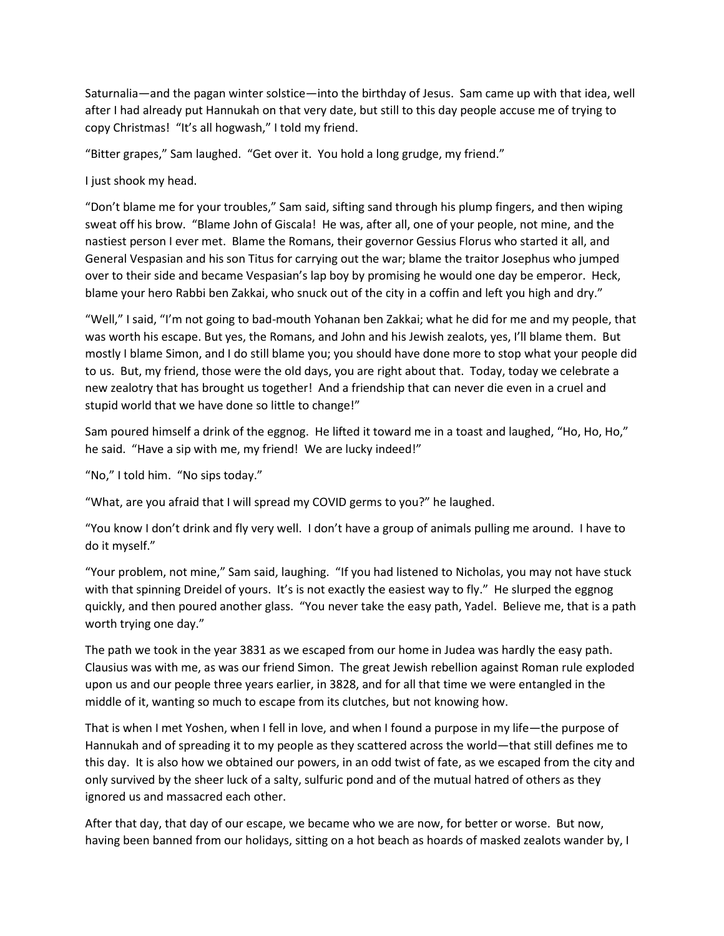Saturnalia—and the pagan winter solstice—into the birthday of Jesus. Sam came up with that idea, well after I had already put Hannukah on that very date, but still to this day people accuse me of trying to copy Christmas! "It's all hogwash," I told my friend.

"Bitter grapes," Sam laughed. "Get over it. You hold a long grudge, my friend."

I just shook my head.

"Don't blame me for your troubles," Sam said, sifting sand through his plump fingers, and then wiping sweat off his brow. "Blame John of Giscala! He was, after all, one of your people, not mine, and the nastiest person I ever met. Blame the Romans, their governor Gessius Florus who started it all, and General Vespasian and his son Titus for carrying out the war; blame the traitor Josephus who jumped over to their side and became Vespasian's lap boy by promising he would one day be emperor. Heck, blame your hero Rabbi ben Zakkai, who snuck out of the city in a coffin and left you high and dry."

"Well," I said, "I'm not going to bad-mouth Yohanan ben Zakkai; what he did for me and my people, that was worth his escape. But yes, the Romans, and John and his Jewish zealots, yes, I'll blame them. But mostly I blame Simon, and I do still blame you; you should have done more to stop what your people did to us. But, my friend, those were the old days, you are right about that. Today, today we celebrate a new zealotry that has brought us together! And a friendship that can never die even in a cruel and stupid world that we have done so little to change!"

Sam poured himself a drink of the eggnog. He lifted it toward me in a toast and laughed, "Ho, Ho, Ho," he said. "Have a sip with me, my friend! We are lucky indeed!"

"No," I told him. "No sips today."

"What, are you afraid that I will spread my COVID germs to you?" he laughed.

"You know I don't drink and fly very well. I don't have a group of animals pulling me around. I have to do it myself."

"Your problem, not mine," Sam said, laughing. "If you had listened to Nicholas, you may not have stuck with that spinning Dreidel of yours. It's is not exactly the easiest way to fly." He slurped the eggnog quickly, and then poured another glass. "You never take the easy path, Yadel. Believe me, that is a path worth trying one day."

The path we took in the year 3831 as we escaped from our home in Judea was hardly the easy path. Clausius was with me, as was our friend Simon. The great Jewish rebellion against Roman rule exploded upon us and our people three years earlier, in 3828, and for all that time we were entangled in the middle of it, wanting so much to escape from its clutches, but not knowing how.

That is when I met Yoshen, when I fell in love, and when I found a purpose in my life—the purpose of Hannukah and of spreading it to my people as they scattered across the world—that still defines me to this day. It is also how we obtained our powers, in an odd twist of fate, as we escaped from the city and only survived by the sheer luck of a salty, sulfuric pond and of the mutual hatred of others as they ignored us and massacred each other.

After that day, that day of our escape, we became who we are now, for better or worse. But now, having been banned from our holidays, sitting on a hot beach as hoards of masked zealots wander by, I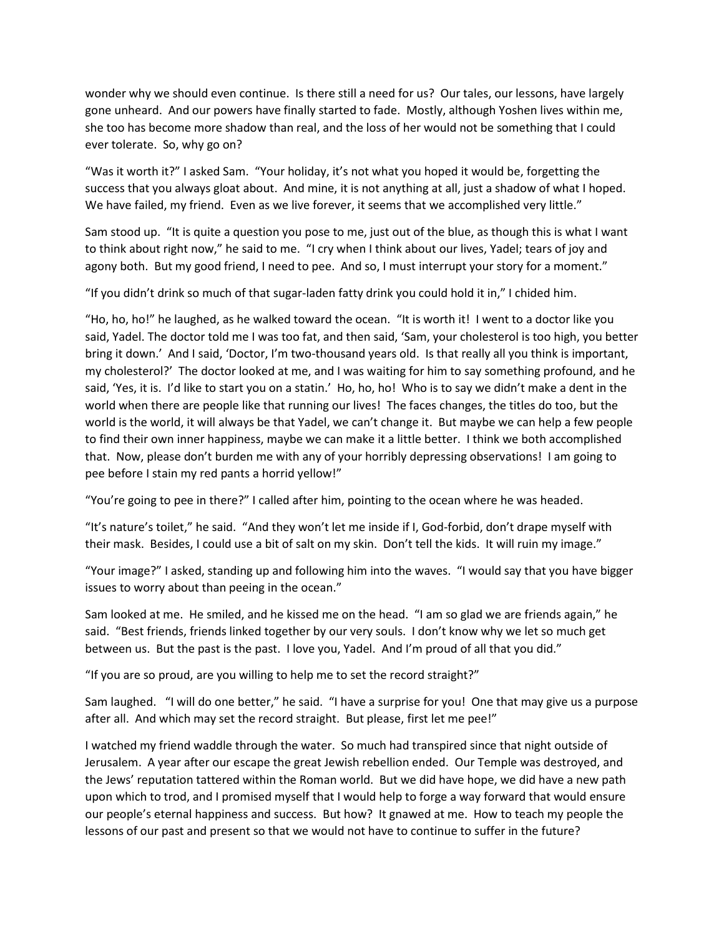wonder why we should even continue. Is there still a need for us? Our tales, our lessons, have largely gone unheard. And our powers have finally started to fade. Mostly, although Yoshen lives within me, she too has become more shadow than real, and the loss of her would not be something that I could ever tolerate. So, why go on?

"Was it worth it?" I asked Sam. "Your holiday, it's not what you hoped it would be, forgetting the success that you always gloat about. And mine, it is not anything at all, just a shadow of what I hoped. We have failed, my friend. Even as we live forever, it seems that we accomplished very little."

Sam stood up. "It is quite a question you pose to me, just out of the blue, as though this is what I want to think about right now," he said to me. "I cry when I think about our lives, Yadel; tears of joy and agony both. But my good friend, I need to pee. And so, I must interrupt your story for a moment."

"If you didn't drink so much of that sugar-laden fatty drink you could hold it in," I chided him.

"Ho, ho, ho!" he laughed, as he walked toward the ocean. "It is worth it! I went to a doctor like you said, Yadel. The doctor told me I was too fat, and then said, 'Sam, your cholesterol is too high, you better bring it down.' And I said, 'Doctor, I'm two-thousand years old. Is that really all you think is important, my cholesterol?' The doctor looked at me, and I was waiting for him to say something profound, and he said, 'Yes, it is. I'd like to start you on a statin.' Ho, ho, ho! Who is to say we didn't make a dent in the world when there are people like that running our lives! The faces changes, the titles do too, but the world is the world, it will always be that Yadel, we can't change it. But maybe we can help a few people to find their own inner happiness, maybe we can make it a little better. I think we both accomplished that. Now, please don't burden me with any of your horribly depressing observations! I am going to pee before I stain my red pants a horrid yellow!"

"You're going to pee in there?" I called after him, pointing to the ocean where he was headed.

"It's nature's toilet," he said. "And they won't let me inside if I, God-forbid, don't drape myself with their mask. Besides, I could use a bit of salt on my skin. Don't tell the kids. It will ruin my image."

"Your image?" I asked, standing up and following him into the waves. "I would say that you have bigger issues to worry about than peeing in the ocean."

Sam looked at me. He smiled, and he kissed me on the head. "I am so glad we are friends again," he said. "Best friends, friends linked together by our very souls. I don't know why we let so much get between us. But the past is the past. I love you, Yadel. And I'm proud of all that you did."

"If you are so proud, are you willing to help me to set the record straight?"

Sam laughed. "I will do one better," he said. "I have a surprise for you! One that may give us a purpose after all. And which may set the record straight. But please, first let me pee!"

I watched my friend waddle through the water. So much had transpired since that night outside of Jerusalem. A year after our escape the great Jewish rebellion ended. Our Temple was destroyed, and the Jews' reputation tattered within the Roman world. But we did have hope, we did have a new path upon which to trod, and I promised myself that I would help to forge a way forward that would ensure our people's eternal happiness and success. But how? It gnawed at me. How to teach my people the lessons of our past and present so that we would not have to continue to suffer in the future?